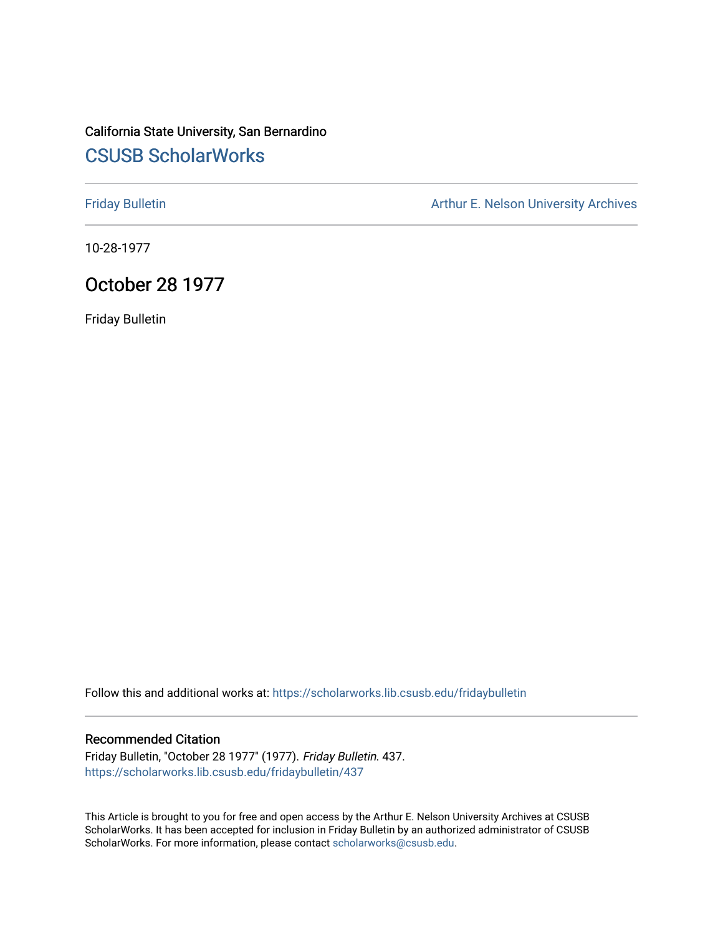# California State University, San Bernardino [CSUSB ScholarWorks](https://scholarworks.lib.csusb.edu/)

[Friday Bulletin](https://scholarworks.lib.csusb.edu/fridaybulletin) **Arthur E. Nelson University Archives** Arthur E. Nelson University Archives

10-28-1977

# October 28 1977

Friday Bulletin

Follow this and additional works at: [https://scholarworks.lib.csusb.edu/fridaybulletin](https://scholarworks.lib.csusb.edu/fridaybulletin?utm_source=scholarworks.lib.csusb.edu%2Ffridaybulletin%2F437&utm_medium=PDF&utm_campaign=PDFCoverPages)

### Recommended Citation

Friday Bulletin, "October 28 1977" (1977). Friday Bulletin. 437. [https://scholarworks.lib.csusb.edu/fridaybulletin/437](https://scholarworks.lib.csusb.edu/fridaybulletin/437?utm_source=scholarworks.lib.csusb.edu%2Ffridaybulletin%2F437&utm_medium=PDF&utm_campaign=PDFCoverPages)

This Article is brought to you for free and open access by the Arthur E. Nelson University Archives at CSUSB ScholarWorks. It has been accepted for inclusion in Friday Bulletin by an authorized administrator of CSUSB ScholarWorks. For more information, please contact [scholarworks@csusb.edu.](mailto:scholarworks@csusb.edu)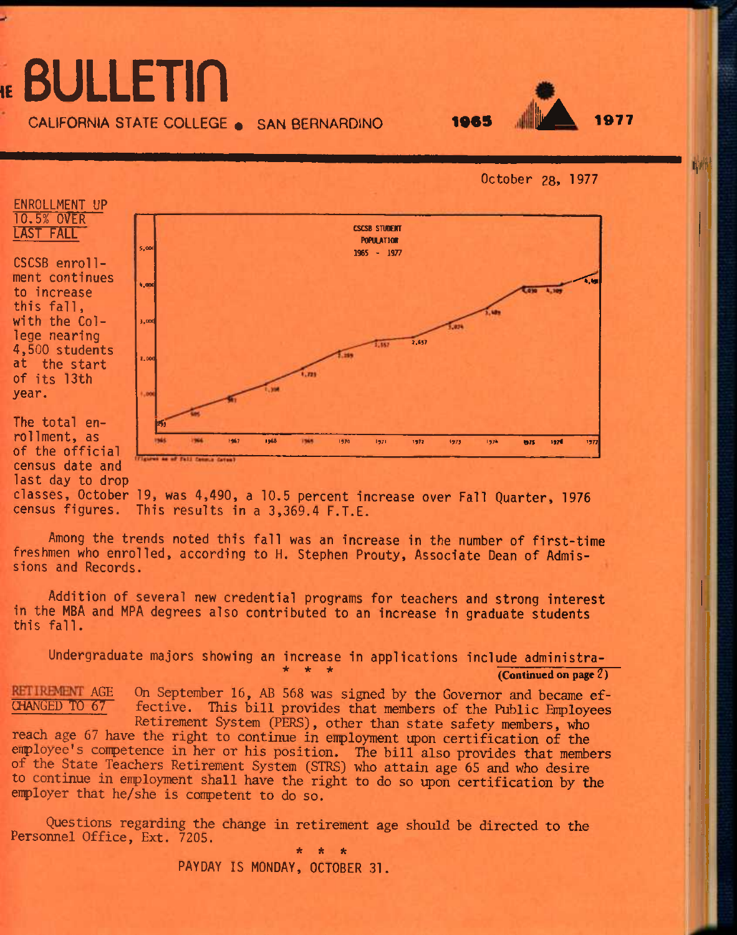# **IE** BULLETin



October 28, 1977

*iM* 



ENROLLMENT UP

The total enrollment, as of the official census date and last day to drop



classes, October 19, was 4,490, a 10.5 percent increase over Fall Quarter, 1976 census figures. This results in a 3,369.4 F.T.E.

Among the trends noted this fall was an increase in the number of first-time freshmen who enrolled, according to H. Stephen Prouty, Associate Dean of Admissions and Records.

Addition of several new credential programs for teachers and strong interest in the MBA and MPA degrees also contributed to an increase in graduate students this fall.

Undergraduate majors showing an increase in applications include administra- (Continued on page  $2$ )

**RETILEMENT AGE** On September 16, AB 568 was signed by the Governor and became ef-<br>CHANGED TO 67 fective. This bill provides that members of the Public Employees fective. This bill provides that members of the Public Employees

Retirement System (PERS), other than state safety members, who reach age 67 have the right to continue in enployment upon certification of the enployee's conpetence in her or his position. The bill also provides that members of the State Teachers Retirement System (STRS) who attain age 65 and who desire to continue in employment shall have the right to do so upon certification by the enployer that he/she is conpetent to do so.

Questions regarding the change in retirement age should be directed to the Personnel Office, Ext. 7205. *\* it \** 

PAYDAY IS MONDAY, OCTOBER 31.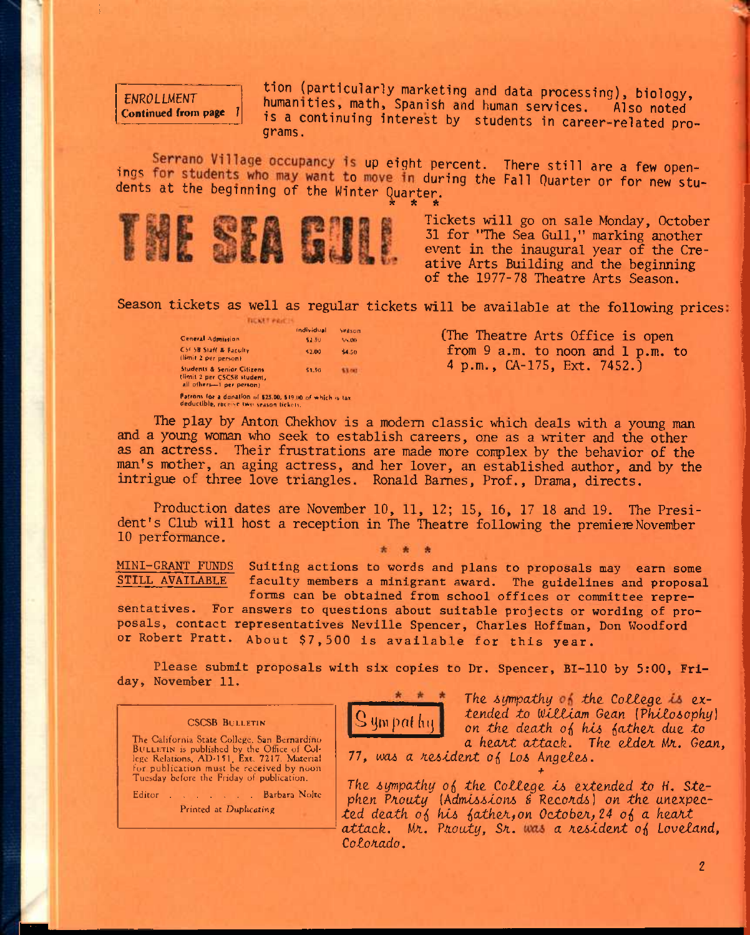**ENROLLMENT** Continued from page tion (particularly marketing and data processing), biology, humanities, math, Spanish and human services. Also noted is a continuing interest by students in career-related programs.

Serrano Village occupancy is up eight percent. There still are a few openings for students who may want to move in during the Fall Quarter or for new students at the beginning of the Winter Quarter.



Tickets will go on sale Monday, October 31 for "The Sea Gull," marking another event in the inaugural year of the Creative Arts Building and the beginning of the 1977-78 Theatre Arts Season,

Season tickets as well as regular tickets will be available at the following prices

Individual Season General Adminion **S2J**<sub>9</sub> Ss.OO CSCSB Staff & Faculty S2.00 44,50 llimil 2 per personi Students & Senior Citizens SI.SO **Stout** (ilrnit 2 per CSCS8 Huderrt, all olheru—1 per penon) Patrons for a donaHon of \$25.00, \$19.110 of which •» tax<br>deductible, receive two season tickets.

**TICKET PRICE** 

CSCSB BULLETIN The California State College. San Bernardino BULLETIN is published by the Office of Col-<br>lege Relations, AD-151, Ext. 7217, Material for publication must be received by noon Tuesday before the Friday of publication. Editor . . . . . . Barbara Nolte Printed at Duphcating

(The Theatre Arts Office is open from 9 a.m. to noon and 1 p.m. to 4 p.m., CA-175, Ext. 7452.)

The play by Anton Chekhov is a modern classic which deals with a young man and a young woman who seek to establish careers, one as a writer and the other as an actress. Their frustrations are made more conplex by the behavior of the man's mother, an aging actress, and her lover, an established author, and by the intrigue of three love triangles. Ronald Barnes, Prof., Drama, directs.

Production dates are November 10, 11, 12; 15, 16, 17 18 and 19. The President's Club will host a reception in The Theatre following the premiere November 10 performance.

**MINI-GRANT FUNDS Suiting actions to words and plans to proposals may earn some**  faculty members a minigrant award. The guidelines and proposal **forms can be obtained from school offices or committee repre-**

sentatives. For answers to questions about suitable projects or wording of pro**representatives Neville Spencer, Charles Hoffman, Don Woodford posals, contact About \$7,500 is available for this year. or Robert Pratt.** 

**Please submit proposals with six copies to Dr. Spencer, BI-110 by 5:00, Friday, November 11.** 



The *4iympatky tha Cottege.* expended *to (^JtZtlam G<LCLn {?ktto60phy)*  on the death of his father due to *a heoAt attack. The eldzA Wi. Gean,* 

**77,** *uxu a n.e6tdent ol Lo6 Angete^.* 

The sympathy of the College is extended to H. Stephen Prouty (Admissions & Records) on the unexpec*ted death o^ kU iathe/ifOn OctobeA;24 o( a hea/it*  attack. Mr. Prouty, Sr. was a resident of Loveland, *Coloaado.* 

**+**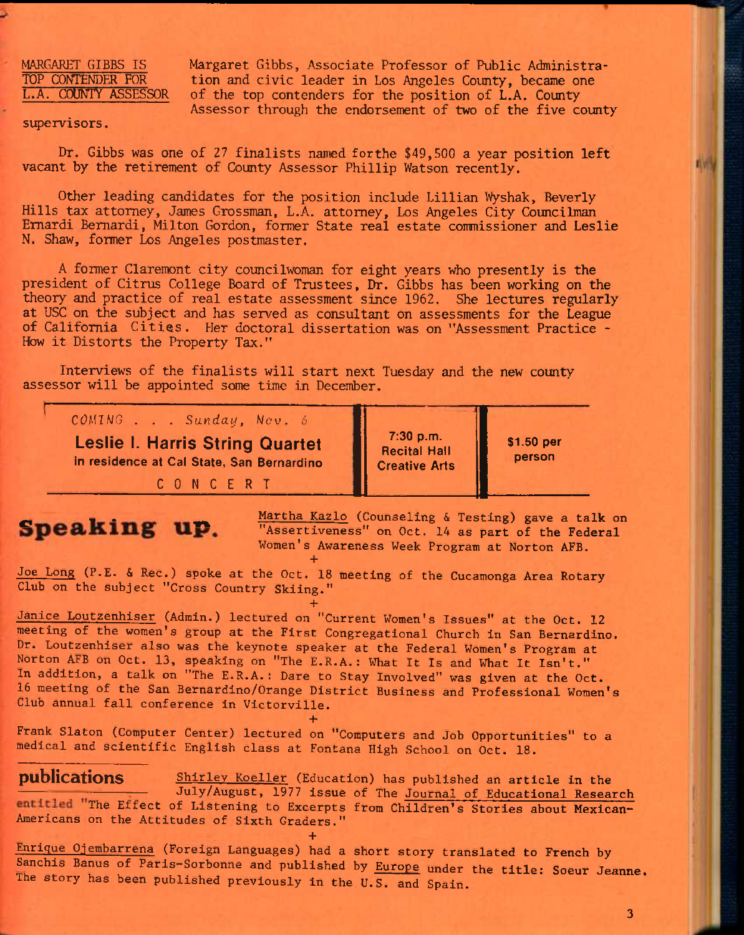MARGARET GIBBS IS Margaret Gibbs, Associate Professor of Public Administra-<br>TOP CONTENDER FOR tion and civic leader in Los Angeles County, became one TOP CONTENDER FOR tion and civic leader in Los Angeles County, became one<br>L.A. COUNTY ASSESSOR of the top contenders for the position of L.A. County of the top contenders for the position of L.A. County Assessor through the endorsement of two of the five county

### supervisors.

Dr. Gibbs was one of 27 finalists named forthe \$49,500 a year position left vacant by the retirement of County Assessor Phillip Watson recently.

Other leading candidates for the position include Lillian Wyshak, Beverly Hills tax attorney, James Grossman, L.A. attorney, Los Angeles City Councilman Emardi Bemardi, Milton Gordon, former State real estate commissioner and Leslie N. Shaw, former Los Angeles postmaster.

A former Claremont city councilwoman for eight years who presently is the president of Citrus College Board of Trustees, Dr. Gibbs has been working on the theory and practice of real estate assessment since 1962. She lectures regularly at USC on the subject and has served as consultant on assessments for the League of California Cities. Her doctoral dissertation was on "Assessment Practice - How it Distorts the Property Tax."

Interviews of the finalists will start next Tuesday and the new county assessor will be appointed some time in December.

**' CGMIWG . . .** *Sunday, Nov, 6*  **Leslie 1. Harris String Quartet in residence at Cal State, San Bernardino** 

**CONCERT** 

**Speaking up.** Martha Kazlo (Counseling & Testing) gave a talk on  $\overline{C}$  martha Kazlo (Counseling & Testing) gave a talk on  $\overline{C}$ **"Assertiveness" on Oct. 14 as part of the Federal Women's Awareness Week Program at Norton AFB. +** 

**7:30 p.m. Recital Hall Creative Arts**  .

**\$1.50 per person** 

**Joe Long (P.E. & Rec.) spoke at the Oct. 18 meeting of the Cucamonga Area Rotary Club on the subject "Cross Country Skiing."** 

**+** 

**Janice Loutzenhiser (Admin.) lectured on "Current Women's Issues" at the Oct. 12 meeting of the women's group at the First Congregational Church in San Bernardino. Dr. Loutzenhiser also was the keynote speaker at the Federal Women's Program at Norton AFB on Oct. 13, speaking on "The E.R.A.: What It Is and What It Isn't." In addition, a talk on "The E.R.A.: Dare to Stay Involved" was given at the Oct. 16 meeting of the San Bernardino/Orange District Business and Professional Women's Club annual fall conference in Victorville. +** 

**Frank Slaton (Computer Center) lectured on "Computers and Job Opportunities" to a medical and scientific English class at Fontana High School on Oct. 18.** 

publications Shirley Koeller (Education) has published an article in the **^— July/August, 1977 issue of The Journal of Educational Research**  entitled "The Effect of Listening to Excerpts from Children's Stories about Mexican-**Americans on the Attitudes of Sixth Graders."** 

**+** 

**Enrique Ojembarrena (Foreign Languages) had a short story translated to French by Sanchis Banus of Parls-Sorbonne and published by Europe under the title: Soeur Jeanne. The story has been published previously in the U.S. and Spain.**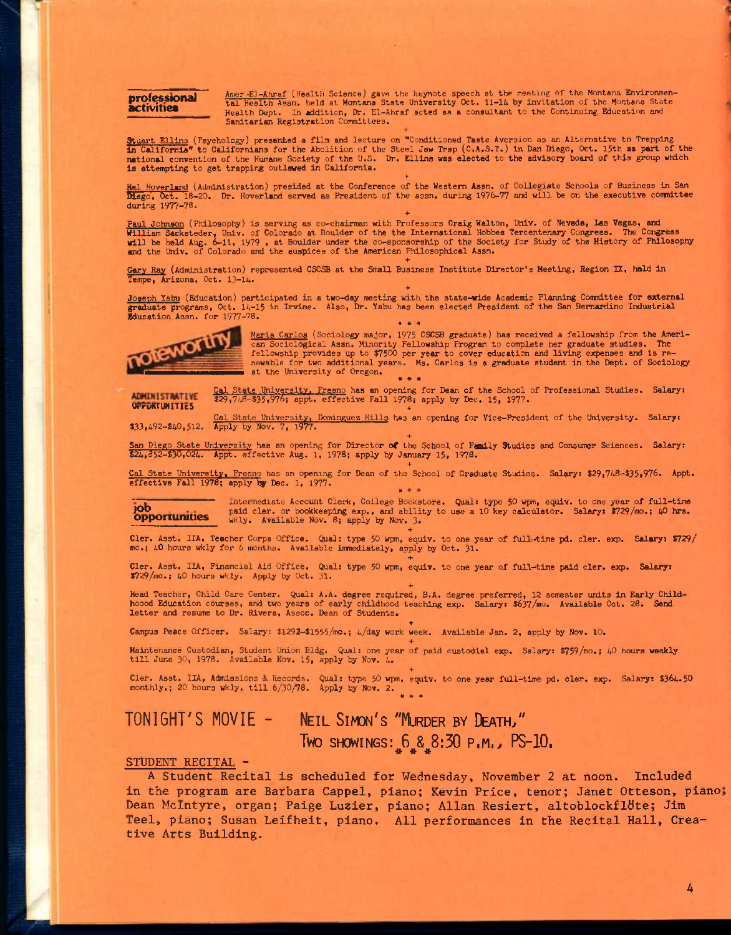**professional activities** 

Amer-EJ-Ahraf (Health Science) gave the keynote speech at the meeting of the Montana Environmen-<br>tal Health Assn. held at Montana State University Oct. 11-14 by invitation of the Montana State Health Dept. In addition. Dr. El-Ahraf acted as a consultant to the Continuing Education and Sanitarian Registration Committees.

Stuart Ellins (Psychology) presented a film and lecture on "Conditioned Taste Aversion as an Alternative to Trapping<br>in California" to Californians for the Abolition of the Steel Jaw Trap (C.A.S.T.) in Dan Diego, Oct. 15th national convention of the Humane Society of the U.S. Dr. Ellins was elected to the advisory board of this group which is attempting to get trapping outlawed in California.

Hal Hoverland (Administration) presided at the Conference of the Western Assn. of Collegiate Schools of Business in San<br>Diego, Oct. 18-20. Dr. Hoverland served as President of the assn. during 1976-77 and will be on the ex during 1977-78.

Paul Johnson (Philosophy) is serving as co-chairman with Professors Craig Walton, Univ. of Nevada, Las Vegas, and<br>William Sacksteder, Univ. of Colorado at Boulder of the the International Hobbes Tercentenary Congress. The

**+** 

Gary Ray (Administration) represented CSCSB at the Small Business Institute Director's Meeting, Region IX, hald in Tempe, Arizona, Oct. 13-14.

**+**  Joseph Yaby (Education) participated in a two-day meeting with the state-wide Academic Planning Committee for external<br>graduate programs, Oct. 14-15 in Irvine. Also, Dr. Yabu has been elected President of the San Bernardin **Education Assn. for 1977-78.**  $\bullet \bullet \bullet \bullet$ 



<u>Maria Carlos</u> (Sociology major, 1975 CSCSB graduate) has received a fellowship from the Ameri-<br>can Sociological Assn. Minority Fellowship Program to complete her graduate studies. The<br>fellowship provides up to \$7500 per y newable for two additional years. Ms. Carlos is a graduate student in the Dept. of Sociology at the University of Oregon. **« \* •** 

ADMINISTRATIVE

Cal State University. Fresno has an opening for Dean of the School of Professional Studies. Salary: \$29,748-\$35,976; appt. effective Fall 1978; apply by Dec. 15, 1977. OrrviiTUNITlcS +

S<sub>33</sub>,492-\$40,512. Apply by Nov. 7, 1977.<br>\$33,492-\$40,512. Apply by Nov. 7, 1977. *+* 

San Diego State University has an opening for Director of the School of Family Studies and Consumer Sciences. Salary:<br>\$24,352-\$30,024. Appt. effective Aug. 1, 1978; apply by January 15, 1978.

*+*  Cal State University. Fresno has an opening for Dean of the School of Graduate Studies. Salary: \$29,748-\$35,976. Appt.<br>effective Fall 1978; apply by Dec. 1, 1977.

Intermediate Account Clerk, College Bookstore. Qual: type 50 wpm, equiv. to one year of full-time paid clerk or bookkeeping eyn. and shillive to use a 10 key calculator. Salarys \$720 (mo. t.0 hrs.) **JOO** paid cler. or bookkeeping exp., and ability to use a 10 key calculator. Salary: \$729/mo.; 40 hrs. **Opportunities** wkly. Available Nov. 8; apply by Nov. 3.

en. Asst. IIA, Teacher Corps Office. Qual: type 50 wpm, equiv. to one year of full.time pd. cler. exp. Salary: \$729/<br>mo.; 40 hours wkly for 6 months. Available immediately, apply by Oct. 31.

**+**  Cler. Asst. IIA, Financial Aid Office. Qual: type 50 wpm, equiv. to one year of full-time paid cler. exp. Salary: \$729/mo.; 40 hours wkly. Apply by Oct. 31-

Head Teacher, Child Care Center. Qual: A.A. degree required, B.A. degree preferred, 12 semester units in Early Child-<br>hoood Education courses, and two years of early childhood teaching exp. Salary: \$637/mo. Available Oct.

**+**  Campus Peace Officer. Salary: \$l292-\$1555/'no.; 4/day work week. Available Jan. 2, apply by Nov. 10.

% + **Maintenance Custodian, Student Union Bldg.** Qual: one year of paid custodial exp. Salary: \$759/mo.; 40 hours weekly<br>till June 30, 1978. Available Nov. 15, apply by Nov. 4.

Cler. Asst. IIA, Admissions & Records. Qual: type 50 wpm, equiv. to one year full-time pd. cler. exp. Salary: \$364.50 monthly.; 20 hours wkly. till 6/30/78. Apply by Nov. 2. \* \* \*

# **TONIGHT'S MOVIE - NEIL SIMON'S "MURDER BY DEATH/'**   $\frac{1}{2}$  **Two showings:**  $\frac{6}{2}$  &  $\frac{8}{2}$  8:30 **P.M.**, PS-10.

### **STUDENT RECITAL -**

**A Student Recital is scheduled for Wednesday, November 2 at noon. Included**  in the program are Barbara Cappel, piano; Kevin Price, tenor; Janet Otteson, piano; **Dean Mclntyre, organ; Paige Luzier, piano; Allan Resiert, altoblockfIdte; Jim Teel, piano; Susan Leifheit, piano. All performances in the Recital Hall, Creative Arts Building.**